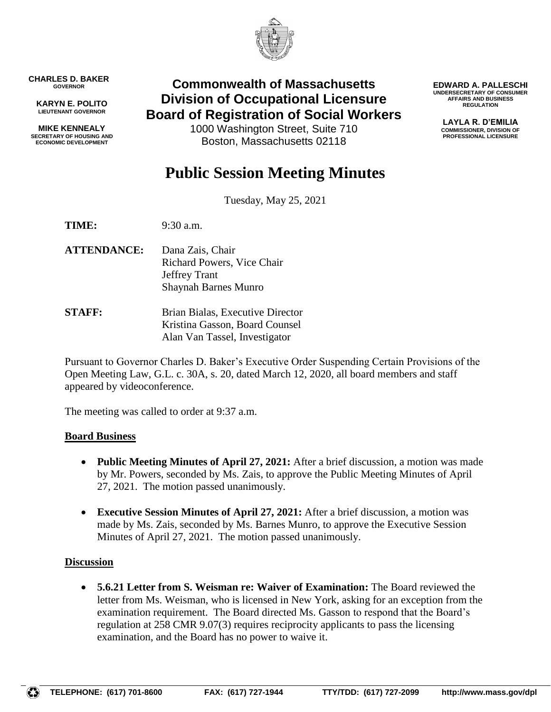

**CHARLES D. BAKER GOVERNOR**

**KARYN E. POLITO LIEUTENANT GOVERNOR**

**MIKE KENNEALY SECRETARY OF HOUSING AND ECONOMIC DEVELOPMENT**

# **Commonwealth of Massachusetts Division of Occupational Licensure Board of Registration of Social Workers**

1000 Washington Street, Suite 710 Boston, Massachusetts 02118

**EDWARD A. PALLESCHI UNDERSECRETARY OF CONSUMER AFFAIRS AND BUSINESS REGULATION**

> **LAYLA R. D'EMILIA COMMISSIONER, DIVISION OF PROFESSIONAL LICENSURE**

# **Public Session Meeting Minutes**

Tuesday, May 25, 2021

**TIME:** 9:30 a.m.

**ATTENDANCE:** Dana Zais, Chair Richard Powers, Vice Chair Jeffrey Trant Shaynah Barnes Munro

**STAFF:** Brian Bialas, Executive Director Kristina Gasson, Board Counsel Alan Van Tassel, Investigator

Pursuant to Governor Charles D. Baker's Executive Order Suspending Certain Provisions of the Open Meeting Law, G.L. c. 30A, s. 20, dated March 12, 2020, all board members and staff appeared by videoconference.

The meeting was called to order at 9:37 a.m.

#### **Board Business**

- **Public Meeting Minutes of April 27, 2021:** After a brief discussion, a motion was made by Mr. Powers, seconded by Ms. Zais, to approve the Public Meeting Minutes of April 27, 2021. The motion passed unanimously.
- **Executive Session Minutes of April 27, 2021:** After a brief discussion, a motion was made by Ms. Zais, seconded by Ms. Barnes Munro, to approve the Executive Session Minutes of April 27, 2021. The motion passed unanimously.

## **Discussion**

 **5.6.21 Letter from S. Weisman re: Waiver of Examination:** The Board reviewed the letter from Ms. Weisman, who is licensed in New York, asking for an exception from the examination requirement. The Board directed Ms. Gasson to respond that the Board's regulation at 258 CMR 9.07(3) requires reciprocity applicants to pass the licensing examination, and the Board has no power to waive it.

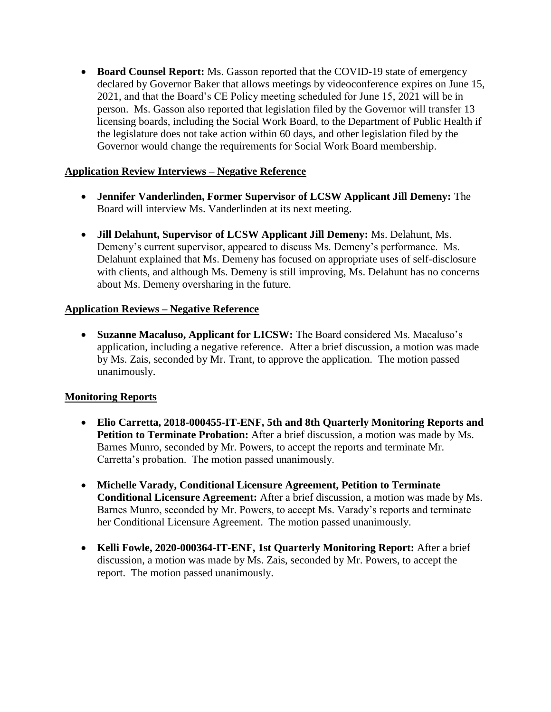**Board Counsel Report:** Ms. Gasson reported that the COVID-19 state of emergency declared by Governor Baker that allows meetings by videoconference expires on June 15, 2021, and that the Board's CE Policy meeting scheduled for June 15, 2021 will be in person. Ms. Gasson also reported that legislation filed by the Governor will transfer 13 licensing boards, including the Social Work Board, to the Department of Public Health if the legislature does not take action within 60 days, and other legislation filed by the Governor would change the requirements for Social Work Board membership.

#### **Application Review Interviews – Negative Reference**

- **Jennifer Vanderlinden, Former Supervisor of LCSW Applicant Jill Demeny:** The Board will interview Ms. Vanderlinden at its next meeting.
- **Jill Delahunt, Supervisor of LCSW Applicant Jill Demeny:** Ms. Delahunt, Ms. Demeny's current supervisor, appeared to discuss Ms. Demeny's performance. Ms. Delahunt explained that Ms. Demeny has focused on appropriate uses of self-disclosure with clients, and although Ms. Demeny is still improving, Ms. Delahunt has no concerns about Ms. Demeny oversharing in the future.

#### **Application Reviews – Negative Reference**

 **Suzanne Macaluso, Applicant for LICSW:** The Board considered Ms. Macaluso's application, including a negative reference. After a brief discussion, a motion was made by Ms. Zais, seconded by Mr. Trant, to approve the application. The motion passed unanimously.

#### **Monitoring Reports**

- **Elio Carretta, 2018-000455-IT-ENF, 5th and 8th Quarterly Monitoring Reports and Petition to Terminate Probation:** After a brief discussion, a motion was made by Ms. Barnes Munro, seconded by Mr. Powers, to accept the reports and terminate Mr. Carretta's probation. The motion passed unanimously.
- **Michelle Varady, Conditional Licensure Agreement, Petition to Terminate Conditional Licensure Agreement:** After a brief discussion, a motion was made by Ms. Barnes Munro, seconded by Mr. Powers, to accept Ms. Varady's reports and terminate her Conditional Licensure Agreement. The motion passed unanimously.
- **Kelli Fowle, 2020-000364-IT-ENF, 1st Quarterly Monitoring Report:** After a brief discussion, a motion was made by Ms. Zais, seconded by Mr. Powers, to accept the report. The motion passed unanimously.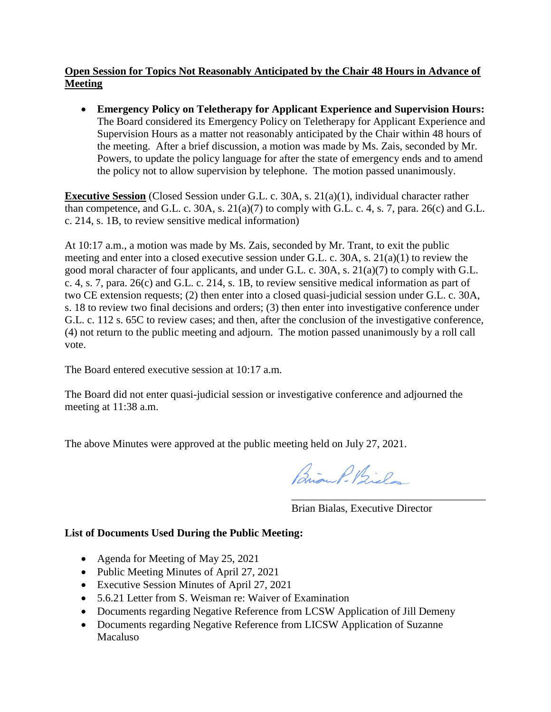### **Open Session for Topics Not Reasonably Anticipated by the Chair 48 Hours in Advance of Meeting**

 **Emergency Policy on Teletherapy for Applicant Experience and Supervision Hours:**  The Board considered its Emergency Policy on Teletherapy for Applicant Experience and Supervision Hours as a matter not reasonably anticipated by the Chair within 48 hours of the meeting. After a brief discussion, a motion was made by Ms. Zais, seconded by Mr. Powers, to update the policy language for after the state of emergency ends and to amend the policy not to allow supervision by telephone. The motion passed unanimously.

**Executive Session** (Closed Session under G.L. c. 30A, s. 21(a)(1), individual character rather than competence, and G.L. c. 30A, s.  $21(a)(7)$  to comply with G.L. c. 4, s. 7, para.  $26(c)$  and G.L. c. 214, s. 1B, to review sensitive medical information)

At 10:17 a.m., a motion was made by Ms. Zais, seconded by Mr. Trant, to exit the public meeting and enter into a closed executive session under G.L. c. 30A, s. 21(a)(1) to review the good moral character of four applicants, and under G.L. c. 30A, s. 21(a)(7) to comply with G.L. c. 4, s. 7, para. 26(c) and G.L. c. 214, s. 1B, to review sensitive medical information as part of two CE extension requests; (2) then enter into a closed quasi-judicial session under G.L. c. 30A, s. 18 to review two final decisions and orders; (3) then enter into investigative conference under G.L. c. 112 s. 65C to review cases; and then, after the conclusion of the investigative conference, (4) not return to the public meeting and adjourn. The motion passed unanimously by a roll call vote.

The Board entered executive session at 10:17 a.m.

The Board did not enter quasi-judicial session or investigative conference and adjourned the meeting at 11:38 a.m.

The above Minutes were approved at the public meeting held on July 27, 2021.

Parian P. Bislo

\_\_\_\_\_\_\_\_\_\_\_\_\_\_\_\_\_\_\_\_\_\_\_\_\_\_\_\_\_\_\_\_\_\_\_\_ Brian Bialas, Executive Director

#### **List of Documents Used During the Public Meeting:**

- Agenda for Meeting of May 25, 2021
- Public Meeting Minutes of April 27, 2021
- Executive Session Minutes of April 27, 2021
- 5.6.21 Letter from S. Weisman re: Waiver of Examination
- Documents regarding Negative Reference from LCSW Application of Jill Demeny
- Documents regarding Negative Reference from LICSW Application of Suzanne Macaluso